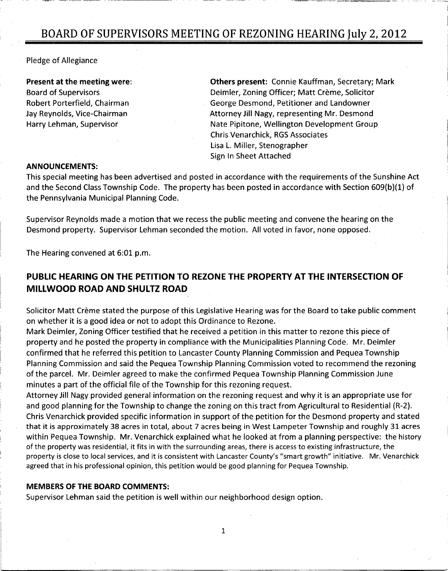# BOARD OF SUPERVISORS MEETING OF REZONING HEARING July 2, 2012

Pledge of Allegiance

**Present at the meeting were: COLL CONNET CONNET CONNET CONNET CONNET PRESENT CONNET PRESENT CONNET PRESENT CONNET PRESENT CONNET PRESENT CONNET PRESENT CONNET PRESENT CONNECT PRESENT CONNECT PRESENT CONNECT PRESENT CONNEC** Board of Supervisors **Deimler, Zoning Officer**; Matt Crème, Solicitor Robert Porterfield, Chairman George Desmond, Petitioner and Landowner Jay Reynolds, Vice-Chairman **Attorney Jill Nagy, representing Mr. Desmond** Harry Lehman, Supervisor Nate Pipitone, Wellington Development Group Chris Venarchick, RGS Associates Lisa L. Miller, Stenographer Sign In Sheet Attached

#### ANNOUNCEMENTS

This special meeting has been advertised and posted in accordance with the requirements of the Sunshine Act LISA L. WIIIET, Stenographer<br>ANNOUNCEMENTS:<br>This special meeting has been advertised and posted in accordance with the requirements of the Sunshine A<br>and the Second Class Township Code. The property has been posted in acco the Pennsylvania Municipal Planning Code

Supervisor Reynolds made <sup>a</sup> motion that we recess the public meeting and convene the hearing on the Desmond property. Supervisor Lehman seconded the motion. All voted in favor, none opposed.

The Hearing convened at  $6:01$  p.m.

### PUBLIC HEARING ON THE PETITION TO REZONE THE PROPERTY AT THE INTERSECTION OF MILLWOOD ROAD AND SHULTZ ROAD

Solicitor Matt Creme stated the purpose of this Legislative Hearing was for the Board to take public comment on whether it is <sup>a</sup> good idea or not to adopt this Ordinance to Rezone

Mark Deimler, Zoning Officer testified that he received a petition in this matter to rezone this piece of property and he posted the property in compliance with the Municipalities Planning Code. Mr. Deimler confirmed that he referred this petition to Lancaster County Planning Commission and Pequea Township Planning Commission and said the Pequea Township Planning Commission voted to recommend the rezoning of the parcel. Mr. Deimler agreed to make the confirmed Pequea Township Planning Commission June minutes <sup>a</sup> part of the official file of the Township for this rezoning request

Attorney Jill Nagy provided general information on the rezoning request and why it is an appropriate use for and good planning for the Township to change the zoning on this tract from Agricultural to Residential (R-2). Chris Venarchick provided specific information in support of the petition for the Desmond property and stated that it is approximately 38 acres in total, about 7 acres being in West Lampeter Township and roughly 31 acres within Pequea Township. Mr. Venarchick explained what he looked at from a planning perspective: the history of the property was residential, it fits in with the surrounding areas, there is access to existing infrastructure, the<br>property is close to local services, and it is consistent with Lancaster County's "smart growth" initi Chris Venarchick provided specific information in support of the petition for the Desmond property and stated<br>that it is approximately 38 acres in total, about 7 acres being in West Lampeter Township and roughly 31 acres<br>w agreed that in his professional opinion, this petition would be good planning for Pequea Township.

#### MEMBERS OF THE BOARD COMMENTS

Supervisor Lehman said the petition is well within our neighborhood design option

1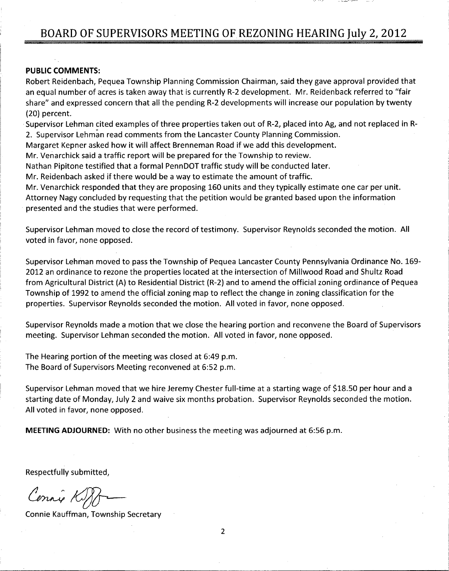## BOARD OF SUPERVISORS MEETING OF REZONING HEARING July 2, 2012

#### PUBLIC COMMENTS

Robert Reidenbach, Pequea Township Planning Commission Chairman, said they gave approval provided that an equal number of acres is taken away that is currently R-2 development. Mr. Reidenback referred to "fair share" and expressed concern that all the pending R-2 developments will increase our population by twenty (20) percent.

Supervisor Lehman cited examples of three properties taken out of R-2, placed into Ag, and not replaced in R-2. Supervisor Lehman read comments from the Lancaster County Planning Commission.

Margaret Kepner asked how it will affect Brenneman Road if we add this development

Mr. Venarchick said a traffic report will be prepared for the Township to review.

Nathan Pipitone testified that <sup>a</sup> formal PennDOT traffic study will be conducted later

Mr. Reidenbach asked if there would be a way to estimate the amount of traffic.

Mr. Venarchick responded that they are proposing 160 units and they typically estimate one car per unit. Attorney Nagy concluded by requesting that the petition would be granted based upon the information presented and the studies that were performed

Supervisor Lehman moved to close the record of testimony. Supervisor Reynolds seconded the motion. All voted in favor, none opposed.

Supervisor Lehman moved to pass the Township of Pequea Lancaster County Pennsylvania Ordinance No. 169-2012 an ordinance to rezone the properties located at the intersection of Millwood Road and Shultz Road from Agricultural District (A) to Residential District (R-2) and to amend the official zoning ordinance of Pequea Township of 1992 to amend the official zoning map to reflect the change in zoning classification for the properties. Supervisor Reynolds seconded the motion. All voted in favor, none opposed.

Supervisor Reynolds made <sup>a</sup> motion that we close the hearing portion and reconvene the Board of Supervisors meeting. Supervisor Lehman seconded the motion. All voted in favor, none opposed.

The Hearing portion of the meeting was closed at 6:49 p.m. The Board of Supervisors Meeting reconvened at 6:52 p.m.

Supervisor Lehman moved that we hire Jeremy Chester full-time at a starting wage of \$18.50 per hour and a starting date of Monday, July 2 and waive six months probation. Supervisor Reynolds seconded the motion. All voted in favor, none opposed.

**MEETING ADJOURNED:** With no other business the meeting was adjourned at 6:56 p.m.

Respectfully submitted

Cennie K.

Connie Kauffman, Township Secretary

2